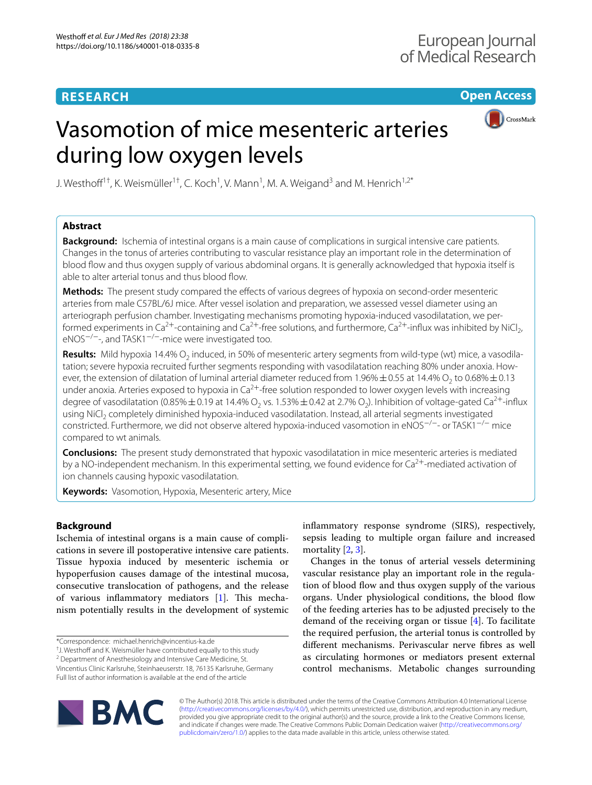# **RESEARCH**

**Open Access**

# Vasomotion of mice mesenteric arteries during low oxygen levels



J. Westhoff<sup>1†</sup>, K. Weismüller<sup>1†</sup>, C. Koch<sup>1</sup>, V. Mann<sup>1</sup>, M. A. Weigand<sup>3</sup> and M. Henrich<sup>1,2\*</sup>

# **Abstract**

**Background:** Ischemia of intestinal organs is a main cause of complications in surgical intensive care patients. Changes in the tonus of arteries contributing to vascular resistance play an important role in the determination of blood fow and thus oxygen supply of various abdominal organs. It is generally acknowledged that hypoxia itself is able to alter arterial tonus and thus blood flow.

Methods: The present study compared the effects of various degrees of hypoxia on second-order mesenteric arteries from male C57BL/6J mice. After vessel isolation and preparation, we assessed vessel diameter using an arteriograph perfusion chamber. Investigating mechanisms promoting hypoxia-induced vasodilatation, we performed experiments in Ca<sup>2+</sup>-containing and Ca<sup>2+</sup>-free solutions, and furthermore, Ca<sup>2+</sup>-influx was inhibited by NiCl<sub>2</sub>, eNOS−/−-, and TASK1−/−-mice were investigated too.

Results: Mild hypoxia 14.4% O<sub>2</sub> induced, in 50% of mesenteric artery segments from wild-type (wt) mice, a vasodilatation; severe hypoxia recruited further segments responding with vasodilatation reaching 80% under anoxia. However, the extension of dilatation of luminal arterial diameter reduced from 1.96% $\pm$ 0.55 at 14.4% O<sub>2</sub> to 0.68% $\pm$ 0.13 under anoxia. Arteries exposed to hypoxia in  $Ca^{2+}$ -free solution responded to lower oxygen levels with increasing degree of vasodilatation (0.85% $\pm$ 0.19 at 14.4% O<sub>2</sub> vs. 1.53% $\pm$ 0.42 at 2.7% O<sub>2</sub>). Inhibition of voltage-gated Ca<sup>2+</sup>-influx using NiCl<sub>2</sub> completely diminished hypoxia-induced vasodilatation. Instead, all arterial segments investigated constricted. Furthermore, we did not observe altered hypoxia-induced vasomotion in eNOS−/−- or TASK1−/− mice compared to wt animals.

**Conclusions:** The present study demonstrated that hypoxic vasodilatation in mice mesenteric arteries is mediated by a NO-independent mechanism. In this experimental setting, we found evidence for  $Ca^{2+}$ -mediated activation of ion channels causing hypoxic vasodilatation.

**Keywords:** Vasomotion, Hypoxia, Mesenteric artery, Mice

# **Background**

Ischemia of intestinal organs is a main cause of complications in severe ill postoperative intensive care patients. Tissue hypoxia induced by mesenteric ischemia or hypoperfusion causes damage of the intestinal mucosa, consecutive translocation of pathogens, and the release of various inflammatory mediators  $[1]$  $[1]$ . This mechanism potentially results in the development of systemic

<sup>2</sup> Department of Anesthesiology and Intensive Care Medicine, St. Vincentius Clinic Karlsruhe, Steinhaeuserstr. 18, 76135 Karlsruhe, Germany Full list of author information is available at the end of the article

infammatory response syndrome (SIRS), respectively, sepsis leading to multiple organ failure and increased mortality [\[2](#page-10-1), [3\]](#page-10-2).

Changes in the tonus of arterial vessels determining vascular resistance play an important role in the regulation of blood fow and thus oxygen supply of the various organs. Under physiological conditions, the blood fow of the feeding arteries has to be adjusted precisely to the demand of the receiving organ or tissue [\[4](#page-10-3)]. To facilitate the required perfusion, the arterial tonus is controlled by diferent mechanisms. Perivascular nerve fbres as well as circulating hormones or mediators present external control mechanisms. Metabolic changes surrounding



© The Author(s) 2018. This article is distributed under the terms of the Creative Commons Attribution 4.0 International License [\(http://creativecommons.org/licenses/by/4.0/\)](http://creativecommons.org/licenses/by/4.0/), which permits unrestricted use, distribution, and reproduction in any medium, provided you give appropriate credit to the original author(s) and the source, provide a link to the Creative Commons license, and indicate if changes were made. The Creative Commons Public Domain Dedication waiver ([http://creativecommons.org/](http://creativecommons.org/publicdomain/zero/1.0/) [publicdomain/zero/1.0/](http://creativecommons.org/publicdomain/zero/1.0/)) applies to the data made available in this article, unless otherwise stated.

<sup>\*</sup>Correspondence: michael.henrich@vincentius-ka.de †

<sup>&</sup>lt;sup>†</sup> J. Westhoff and K. Weismüller have contributed equally to this study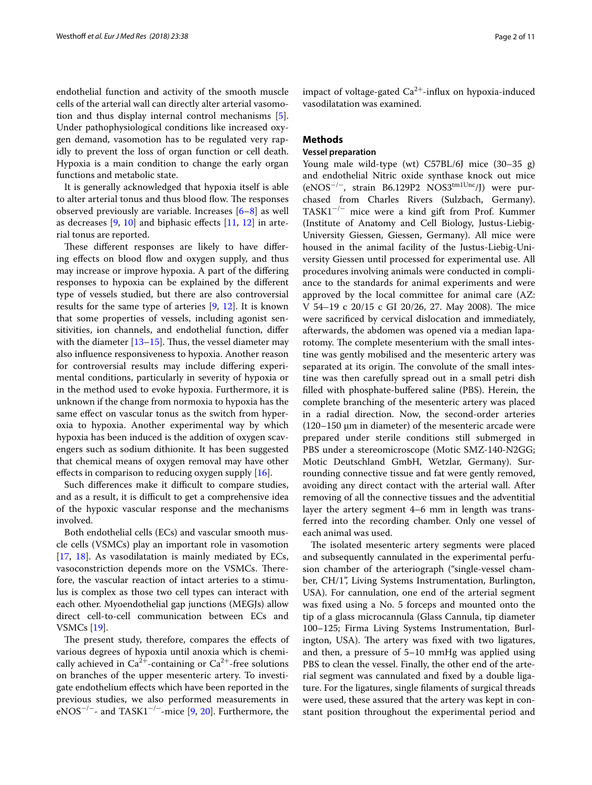endothelial function and activity of the smooth muscle cells of the arterial wall can directly alter arterial vasomotion and thus display internal control mechanisms [\[5](#page-10-4)]. Under pathophysiological conditions like increased oxygen demand, vasomotion has to be regulated very rapidly to prevent the loss of organ function or cell death. Hypoxia is a main condition to change the early organ functions and metabolic state.

It is generally acknowledged that hypoxia itself is able to alter arterial tonus and thus blood flow. The responses observed previously are variable. Increases [\[6](#page-10-5)[–8](#page-10-6)] as well as decreases  $[9, 10]$  $[9, 10]$  $[9, 10]$  $[9, 10]$  $[9, 10]$  and biphasic effects  $[11, 12]$  $[11, 12]$  $[11, 12]$  $[11, 12]$  in arterial tonus are reported.

These different responses are likely to have differing effects on blood flow and oxygen supply, and thus may increase or improve hypoxia. A part of the difering responses to hypoxia can be explained by the diferent type of vessels studied, but there are also controversial results for the same type of arteries [\[9](#page-10-7), [12\]](#page-10-10). It is known that some properties of vessels, including agonist sensitivities, ion channels, and endothelial function, difer with the diameter  $[13-15]$  $[13-15]$  $[13-15]$ . Thus, the vessel diameter may also infuence responsiveness to hypoxia. Another reason for controversial results may include difering experimental conditions, particularly in severity of hypoxia or in the method used to evoke hypoxia. Furthermore, it is unknown if the change from normoxia to hypoxia has the same efect on vascular tonus as the switch from hyperoxia to hypoxia. Another experimental way by which hypoxia has been induced is the addition of oxygen scavengers such as sodium dithionite. It has been suggested that chemical means of oxygen removal may have other effects in comparison to reducing oxygen supply [[16\]](#page-10-13).

Such differences make it difficult to compare studies, and as a result, it is difficult to get a comprehensive idea of the hypoxic vascular response and the mechanisms involved.

Both endothelial cells (ECs) and vascular smooth muscle cells (VSMCs) play an important role in vasomotion [[17,](#page-10-14) [18](#page-10-15)]. As vasodilatation is mainly mediated by ECs, vasoconstriction depends more on the VSMCs. Therefore, the vascular reaction of intact arteries to a stimulus is complex as those two cell types can interact with each other. Myoendothelial gap junctions (MEGJs) allow direct cell-to-cell communication between ECs and VSMCs [[19\]](#page-10-16).

The present study, therefore, compares the effects of various degrees of hypoxia until anoxia which is chemically achieved in  $Ca^{2+}$ -containing or  $Ca^{2+}$ -free solutions on branches of the upper mesenteric artery. To investigate endothelium efects which have been reported in the previous studies, we also performed measurements in eNOS<sup>-/-</sup>- and TASK1<sup>-/-</sup>-mice [[9,](#page-10-7) [20\]](#page-10-17). Furthermore, the impact of voltage-gated  $Ca^{2+}$ -influx on hypoxia-induced vasodilatation was examined.

# **Methods**

#### **Vessel preparation**

Young male wild-type (wt) C57BL/6J mice (30–35 g) and endothelial Nitric oxide synthase knock out mice (eNOS<sup>-/-</sup>, strain B6.129P2 NOS3<sup>tm1Unc</sup>/J) were purchased from Charles Rivers (Sulzbach, Germany). TASK1<sup>−</sup>/<sup>−</sup> mice were a kind gift from Prof. Kummer (Institute of Anatomy and Cell Biology, Justus-Liebig-University Giessen, Giessen, Germany). All mice were housed in the animal facility of the Justus-Liebig-University Giessen until processed for experimental use. All procedures involving animals were conducted in compliance to the standards for animal experiments and were approved by the local committee for animal care (AZ: V 54-19 c 20/15 c GI 20/26, 27. May 2008). The mice were sacrifced by cervical dislocation and immediately, afterwards, the abdomen was opened via a median laparotomy. The complete mesenterium with the small intestine was gently mobilised and the mesenteric artery was separated at its origin. The convolute of the small intestine was then carefully spread out in a small petri dish filled with phosphate-buffered saline (PBS). Herein, the complete branching of the mesenteric artery was placed in a radial direction. Now, the second-order arteries (120–150 µm in diameter) of the mesenteric arcade were prepared under sterile conditions still submerged in PBS under a stereomicroscope (Motic SMZ-140-N2GG; Motic Deutschland GmbH, Wetzlar, Germany). Surrounding connective tissue and fat were gently removed, avoiding any direct contact with the arterial wall. After removing of all the connective tissues and the adventitial layer the artery segment 4–6 mm in length was transferred into the recording chamber. Only one vessel of each animal was used.

The isolated mesenteric artery segments were placed and subsequently cannulated in the experimental perfusion chamber of the arteriograph ("single-vessel chamber, CH/1", Living Systems Instrumentation, Burlington, USA). For cannulation, one end of the arterial segment was fxed using a No. 5 forceps and mounted onto the tip of a glass microcannula (Glass Cannula, tip diameter 100–125; Firma Living Systems Instrumentation, Burlington, USA). The artery was fixed with two ligatures, and then, a pressure of 5–10 mmHg was applied using PBS to clean the vessel. Finally, the other end of the arterial segment was cannulated and fxed by a double ligature. For the ligatures, single flaments of surgical threads were used, these assured that the artery was kept in constant position throughout the experimental period and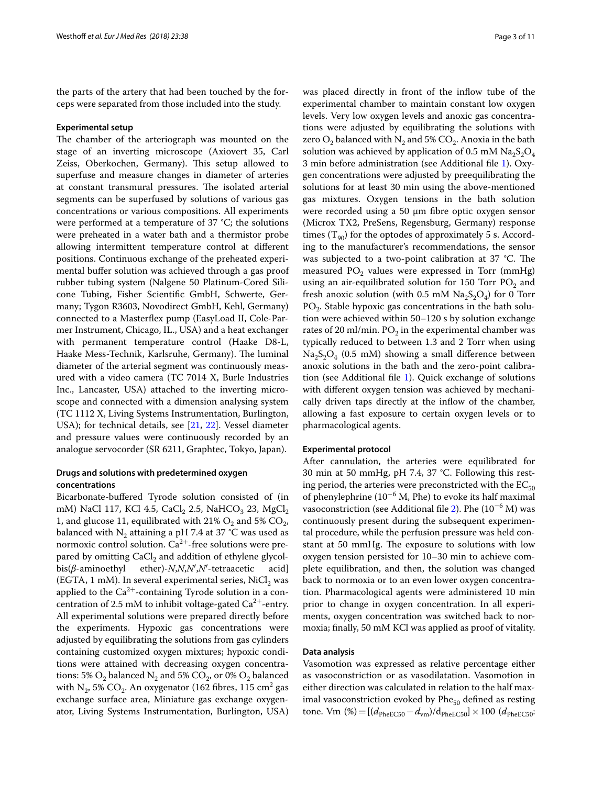the parts of the artery that had been touched by the forceps were separated from those included into the study.

#### **Experimental setup**

The chamber of the arteriograph was mounted on the stage of an inverting microscope (Axiovert 35, Carl Zeiss, Oberkochen, Germany). This setup allowed to superfuse and measure changes in diameter of arteries at constant transmural pressures. The isolated arterial segments can be superfused by solutions of various gas concentrations or various compositions. All experiments were performed at a temperature of 37 °C; the solutions were preheated in a water bath and a thermistor probe allowing intermittent temperature control at diferent positions. Continuous exchange of the preheated experimental bufer solution was achieved through a gas proof rubber tubing system (Nalgene 50 Platinum-Cored Silicone Tubing, Fisher Scientifc GmbH, Schwerte, Germany; Tygon R3603, Novodirect GmbH, Kehl, Germany) connected to a Masterfex pump (EasyLoad II, Cole-Parmer Instrument, Chicago, IL., USA) and a heat exchanger with permanent temperature control (Haake D8-L, Haake Mess-Technik, Karlsruhe, Germany). The luminal diameter of the arterial segment was continuously measured with a video camera (TC 7014 X, Burle Industries Inc., Lancaster, USA) attached to the inverting microscope and connected with a dimension analysing system (TC 1112 X, Living Systems Instrumentation, Burlington, USA); for technical details, see [[21,](#page-10-18) [22\]](#page-10-19). Vessel diameter and pressure values were continuously recorded by an analogue servocorder (SR 6211, Graphtec, Tokyo, Japan).

# **Drugs and solutions with predetermined oxygen concentrations**

Bicarbonate-buffered Tyrode solution consisted of (in mM) NaCl 117, KCl 4.5, CaCl<sub>2</sub> 2.5, NaHCO<sub>3</sub> 23, MgCl<sub>2</sub> 1, and glucose 11, equilibrated with 21%  $O_2$  and 5%  $CO_2$ , balanced with N<sub>2</sub> attaining a pH 7.4 at 37 °C was used as normoxic control solution.  $Ca^{2+}$ -free solutions were prepared by omitting CaCl<sub>2</sub> and addition of ethylene glycol-<br>bis( $\beta$ -aminoethyl ether)-*N,N,N'*,*N'*-tetraacetic acid] *ether)-N,N,N',N'*-tetraacetic (EGTA, 1 mM). In several experimental series, NiCl<sub>2</sub> was applied to the  $Ca^{2+}$ -containing Tyrode solution in a concentration of 2.5 mM to inhibit voltage-gated  $Ca^{2+}$ -entry. All experimental solutions were prepared directly before the experiments. Hypoxic gas concentrations were adjusted by equilibrating the solutions from gas cylinders containing customized oxygen mixtures; hypoxic conditions were attained with decreasing oxygen concentrations: 5%  $O_2$  balanced  $N_2$  and 5%  $CO_2$ , or 0%  $O_2$  balanced with  $N_2$ , 5% CO<sub>2</sub>. An oxygenator (162 fibres, 115 cm<sup>2</sup> gas exchange surface area, Miniature gas exchange oxygenator, Living Systems Instrumentation, Burlington, USA)

was placed directly in front of the infow tube of the experimental chamber to maintain constant low oxygen levels. Very low oxygen levels and anoxic gas concentrations were adjusted by equilibrating the solutions with zero  $O_2$  balanced with  $N_2$  and 5%  $CO_2$ . Anoxia in the bath solution was achieved by application of 0.5 mM  $\text{Na}_2\text{S}_2\text{O}_4$ 3 min before administration (see Additional fle [1\)](#page-9-0). Oxygen concentrations were adjusted by preequilibrating the solutions for at least 30 min using the above-mentioned gas mixtures. Oxygen tensions in the bath solution were recorded using a 50 μm fibre optic oxygen sensor (Microx TX2, PreSens, Regensburg, Germany) response times  $(T_{90})$  for the optodes of approximately 5 s. According to the manufacturer's recommendations, the sensor was subjected to a two-point calibration at 37 °C. The measured  $PO_2$  values were expressed in Torr (mmHg) using an air-equilibrated solution for 150 Torr  $PO<sub>2</sub>$  and fresh anoxic solution (with 0.5 mM  $\text{Na}_2\text{S}_2\text{O}_4$ ) for 0 Torr  $PO<sub>2</sub>$ . Stable hypoxic gas concentrations in the bath solution were achieved within 50–120 s by solution exchange rates of 20 ml/min.  $PO<sub>2</sub>$  in the experimental chamber was typically reduced to between 1.3 and 2 Torr when using  $Na<sub>2</sub>S<sub>2</sub>O<sub>4</sub>$  (0.5 mM) showing a small difference between anoxic solutions in the bath and the zero-point calibration (see Additional fle [1\)](#page-9-0). Quick exchange of solutions with diferent oxygen tension was achieved by mechanically driven taps directly at the infow of the chamber, allowing a fast exposure to certain oxygen levels or to pharmacological agents.

#### **Experimental protocol**

After cannulation, the arteries were equilibrated for 30 min at 50 mmHg, pH 7.4, 37 °C. Following this resting period, the arteries were preconstricted with the  $EC_{50}$ of phenylephrine  $(10^{-6} M, Phe)$  to evoke its half maximal vasoconstriction (see Additional file [2\)](#page-9-1). Phe  $(10^{-6} M)$  was continuously present during the subsequent experimental procedure, while the perfusion pressure was held constant at 50 mmHg. The exposure to solutions with low oxygen tension persisted for 10–30 min to achieve complete equilibration, and then, the solution was changed back to normoxia or to an even lower oxygen concentration. Pharmacological agents were administered 10 min prior to change in oxygen concentration. In all experiments, oxygen concentration was switched back to normoxia; fnally, 50 mM KCl was applied as proof of vitality.

#### **Data analysis**

Vasomotion was expressed as relative percentage either as vasoconstriction or as vasodilatation. Vasomotion in either direction was calculated in relation to the half maximal vasoconstriction evoked by  $Phe_{50}$  defined as resting tone. Vm (%) =  $[(d_{\text{PheEC50}} - d_{\text{vm}})/d_{\text{PheEC50}}] \times 100$  ( $d_{\text{PheEC50}}$ :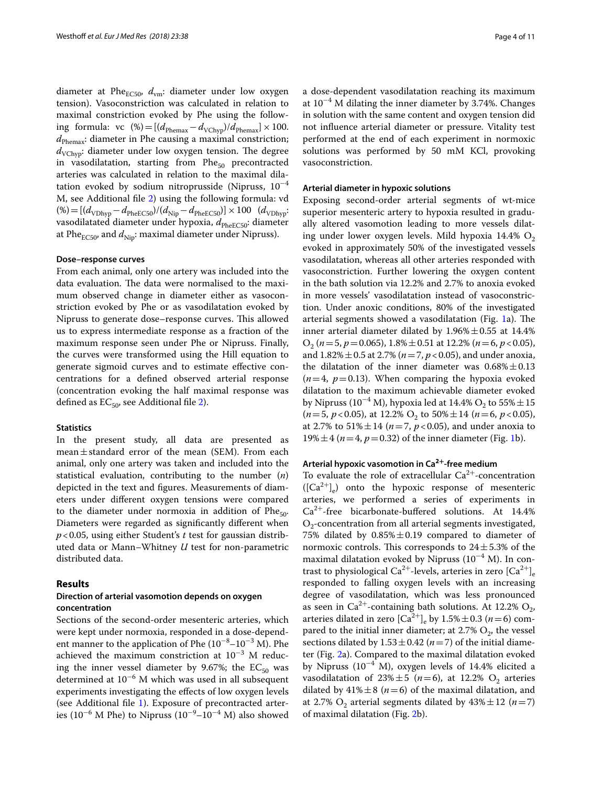diameter at Phe $_{EC50}$ ,  $d_{vm}$ : diameter under low oxygen tension). Vasoconstriction was calculated in relation to maximal constriction evoked by Phe using the following formula: vc (%)=[ $(d_{\text{Phemax}} - d_{\text{VChyp}})/d_{\text{Phemax}}$ ] × 100.  $d_{\text{Phemax}}$ : diameter in Phe causing a maximal constriction;  $d_{\text{VChyp}}$ : diameter under low oxygen tension. The degree in vasodilatation, starting from  $Phe_{50}$  precontracted arteries was calculated in relation to the maximal dilatation evoked by sodium nitroprusside (Nipruss,  $10^{-4}$ M, see Additional fle [2](#page-9-1)) using the following formula: vd  $(%)=[(d_{VDhvp}-d_{PheEC50})/(d_{Nip}-d_{PheEC50})]\times 100$   $(d_{VDhvp};$ vasodilatated diameter under hypoxia, *d*<sub>PheEC50</sub>: diameter at Phe $_{\text{EC50}}$ , and  $d_{\text{Nin}}$ : maximal diameter under Nipruss).

# **Dose–response curves**

From each animal, only one artery was included into the data evaluation. The data were normalised to the maximum observed change in diameter either as vasoconstriction evoked by Phe or as vasodilatation evoked by Nipruss to generate dose–response curves. This allowed us to express intermediate response as a fraction of the maximum response seen under Phe or Nipruss. Finally, the curves were transformed using the Hill equation to generate sigmoid curves and to estimate efective concentrations for a defned observed arterial response (concentration evoking the half maximal response was defined as  $EC_{50}$ , see Additional file [2\)](#page-9-1).

#### **Statistics**

In the present study, all data are presented as mean $\pm$ standard error of the mean (SEM). From each animal, only one artery was taken and included into the statistical evaluation, contributing to the number (*n*) depicted in the text and fgures. Measurements of diameters under diferent oxygen tensions were compared to the diameter under normoxia in addition of  $Phe_{50}$ . Diameters were regarded as signifcantly diferent when *p*<0.05, using either Student's *t* test for gaussian distributed data or Mann–Whitney *U* test for non-parametric distributed data.

### **Results**

### **Direction of arterial vasomotion depends on oxygen concentration**

Sections of the second-order mesenteric arteries, which were kept under normoxia, responded in a dose-dependent manner to the application of Phe  $(10^{-8}$ – $10^{-3}$  M). Phe achieved the maximum constriction at  $10^{-3}$  M reducing the inner vessel diameter by 9.67%; the  $EC_{50}$  was determined at 10<sup>−</sup><sup>6</sup> M which was used in all subsequent experiments investigating the efects of low oxygen levels (see Additional fle [1](#page-9-0)). Exposure of precontracted arteries (10<sup>−</sup><sup>6</sup> M Phe) to Nipruss (10<sup>−</sup><sup>9</sup> –10<sup>−</sup><sup>4</sup> M) also showed

a dose-dependent vasodilatation reaching its maximum at 10<sup>−</sup><sup>4</sup> M dilating the inner diameter by 3.74%. Changes in solution with the same content and oxygen tension did not infuence arterial diameter or pressure. Vitality test performed at the end of each experiment in normoxic solutions was performed by 50 mM KCl, provoking vasoconstriction.

## **Arterial diameter in hypoxic solutions**

Exposing second-order arterial segments of wt-mice superior mesenteric artery to hypoxia resulted in gradually altered vasomotion leading to more vessels dilating under lower oxygen levels. Mild hypoxia  $14.4\%$  O<sub>2</sub> evoked in approximately 50% of the investigated vessels vasodilatation, whereas all other arteries responded with vasoconstriction. Further lowering the oxygen content in the bath solution via 12.2% and 2.7% to anoxia evoked in more vessels' vasodilatation instead of vasoconstriction. Under anoxic conditions, 80% of the investigated arterial segments showed a vasodilatation (Fig. [1a](#page-4-0)). The inner arterial diameter dilated by  $1.96\% \pm 0.55$  at 14.4% O2 (*n*=5, *p*=0.065), 1.8%±0.51 at 12.2% (*n*=6, *p*<0.05), and  $1.82\% \pm 0.5$  at  $2.7\%$  ( $n = 7$ ,  $p < 0.05$ ), and under anoxia, the dilatation of the inner diameter was  $0.68\% \pm 0.13$  $(n=4, p=0.13)$ . When comparing the hypoxia evoked dilatation to the maximum achievable diameter evoked by Nipruss ( $10^{-4}$  M), hypoxia led at 14.4% O<sub>2</sub> to 55%  $\pm$  15  $(n=5, p<0.05)$ , at 12.2% O<sub>2</sub> to 50%  $\pm$  14 ( $n=6, p<0.05$ ), at 2.7% to  $51\% \pm 14$  ( $n = 7$ ,  $p < 0.05$ ), and under anoxia to [1](#page-4-0)9%  $\pm$  4 (*n* = 4, *p* = 0.32) of the inner diameter (Fig. 1b).

## **Arterial hypoxic vasomotion in Ca<sup>2</sup>+‑free medium**

To evaluate the role of extracellular  $Ca^{2+}$ -concentration  $([Ca<sup>2+</sup>]<sub>e</sub>$  onto the hypoxic response of mesenteric arteries, we performed a series of experiments in  $Ca<sup>2+</sup>$ -free bicarbonate-buffered solutions. At 14.4%  $O_2$ -concentration from all arterial segments investigated, 75% dilated by  $0.85\% \pm 0.19$  compared to diameter of normoxic controls. This corresponds to  $24 \pm 5.3\%$  of the maximal dilatation evoked by Nipruss (10<sup>-4</sup> M). In contrast to physiological Ca<sup>2+</sup>-levels, arteries in zero  $\left[Ca^{2+}\right]_e$ responded to falling oxygen levels with an increasing degree of vasodilatation, which was less pronounced as seen in Ca<sup>2+</sup>-containing bath solutions. At 12.2%  $O_2$ , arteries dilated in zero  $\left[Ca^{2+}\right]_e$  by  $1.5\% \pm 0.3$  (*n* = 6) compared to the initial inner diameter; at 2.7%  $O_2$ , the vessel sections dilated by  $1.53 \pm 0.42$  ( $n=7$ ) of the initial diameter (Fig. [2](#page-5-0)a). Compared to the maximal dilatation evoked by Nipruss (10<sup>−</sup><sup>4</sup> M), oxygen levels of 14.4% elicited a vasodilatation of  $23\% \pm 5$  ( $n=6$ ), at 12.2% O<sub>2</sub> arteries dilated by  $41\% \pm 8$  ( $n=6$ ) of the maximal dilatation, and at 2.7%  $O_2$  arterial segments dilated by  $43\% \pm 12$  (*n*=7) of maximal dilatation (Fig. [2b](#page-5-0)).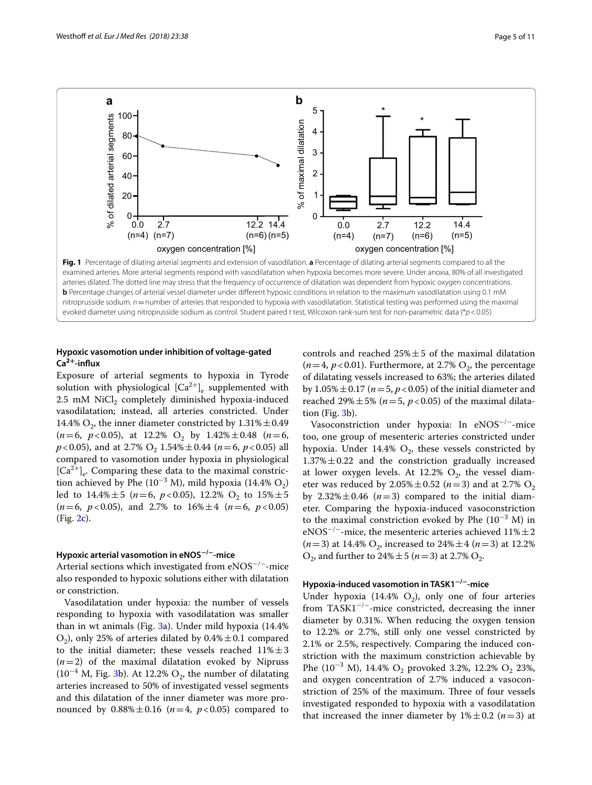

<span id="page-4-0"></span>arteries dilated. The dotted line may stress that the frequency of occurrence of dilatation was dependent from hypoxic oxygen concentrations. **b** Percentage changes of arterial vessel diameter under diferent hypoxic conditions in relation to the maximum vasodilatation using 0.1 mM nitroprusside sodium. *n*=number of arteries that responded to hypoxia with vasodilatation. Statistical testing was performed using the maximal evoked diameter using nitroprusside sodium as control. Student paired *t* test, Wilcoxon rank-sum test for non-parametric data (\**p*<0.05)

# **Hypoxic vasomotion under inhibition of voltage‑gated Ca<sup>2</sup>+‑infux**

Exposure of arterial segments to hypoxia in Tyrode solution with physiological  $[Ca^{2+}]_e$  supplemented with 2.5 mM NiCl<sub>2</sub> completely diminished hypoxia-induced vasodilatation; instead, all arteries constricted. Under 14.4%  $O_2$ , the inner diameter constricted by  $1.31\% \pm 0.49$  $(n=6, p<0.05)$ , at 12.2% O<sub>2</sub> by 1.42% $\pm$ 0.48 (*n*=6, *p*<0.05), and at 2.7% O<sub>2</sub> 1.54%  $\pm$  0.44 (*n*=6, *p*<0.05) all compared to vasomotion under hypoxia in physiological  ${[Ca^{2+}]}_e$ . Comparing these data to the maximal constriction achieved by Phe (10<sup>-3</sup> M), mild hypoxia (14.4% O<sub>2</sub>) led to  $14.4\% \pm 5$  ( $n=6$ ,  $p<0.05$ ),  $12.2\%$  O<sub>2</sub> to  $15\% \pm 5$  $(n=6, p<0.05)$ , and 2.7% to  $16\% \pm 4$   $(n=6, p<0.05)$ (Fig. [2c](#page-5-0)).

#### **Hypoxic arterial vasomotion in eNOS−/−‑mice**

Arterial sections which investigated from eNOS<sup>−</sup>/<sup>−</sup>-mice also responded to hypoxic solutions either with dilatation or constriction.

Vasodilatation under hypoxia: the number of vessels responding to hypoxia with vasodilatation was smaller than in wt animals (Fig. [3](#page-6-0)a). Under mild hypoxia (14.4% O<sub>2</sub>), only 25% of arteries dilated by  $0.4\% \pm 0.1$  compared to the initial diameter; these vessels reached  $11\% \pm 3$  $(n=2)$  of the maximal dilatation evoked by Nipruss  $(10^{-4}$  M, Fig. [3b](#page-6-0)). At 12.2% O<sub>2</sub>, the number of dilatating arteries increased to 50% of investigated vessel segments and this dilatation of the inner diameter was more pronounced by  $0.88\% \pm 0.16$  ( $n = 4$ ,  $p < 0.05$ ) compared to

controls and reached  $25\% \pm 5$  of the maximal dilatation  $(n=4, p<0.01)$ . Furthermore, at 2.7%  $O<sub>2</sub>$ , the percentage of dilatating vessels increased to 63%; the arteries dilated by  $1.05\% \pm 0.17$  ( $n = 5$ ,  $p < 0.05$ ) of the initial diameter and reached 29% $\pm$ 5% ( $n=5$ ,  $p<0.05$ ) of the maximal dilatation (Fig.  $3b$ ).

Vasoconstriction under hypoxia: In eNOS−/−-mice too, one group of mesenteric arteries constricted under hypoxia. Under  $14.4\%$  O<sub>2</sub>, these vessels constricted by  $1.37\% \pm 0.22$  and the constriction gradually increased at lower oxygen levels. At  $12.2\%$  O<sub>2</sub>, the vessel diameter was reduced by  $2.05\% \pm 0.52$  ( $n = 3$ ) and at 2.7% O<sub>2</sub> by  $2.32\% \pm 0.46$  ( $n=3$ ) compared to the initial diameter. Comparing the hypoxia-induced vasoconstriction to the maximal constriction evoked by Phe  $(10^{-3} M)$  in eNOS<sup>-/-</sup>-mice, the mesenteric arteries achieved  $11\% \pm 2$  $(n=3)$  at 14.4% O<sub>2</sub>, increased to 24%  $\pm$  4  $(n=3)$  at 12.2%  $O_2$ , and further to 24%  $\pm$  5 (*n* = 3) at 2.7%  $O_2$ .

# **Hypoxia‑induced vasomotion in TASK1−/−‑mice**

Under hypoxia (14.4%  $O_2$ ), only one of four arteries from TASK1<sup> $-/-$ </sup>-mice constricted, decreasing the inner diameter by 0.31%. When reducing the oxygen tension to 12.2% or 2.7%, still only one vessel constricted by 2.1% or 2.5%, respectively. Comparing the induced constriction with the maximum constriction achievable by Phe ( $10^{-3}$  M), 14.4% O<sub>2</sub> provoked 3.2%, 12.2% O<sub>2</sub> 23%, and oxygen concentration of 2.7% induced a vasoconstriction of 25% of the maximum. Three of four vessels investigated responded to hypoxia with a vasodilatation that increased the inner diameter by  $1\% \pm 0.2$  ( $n=3$ ) at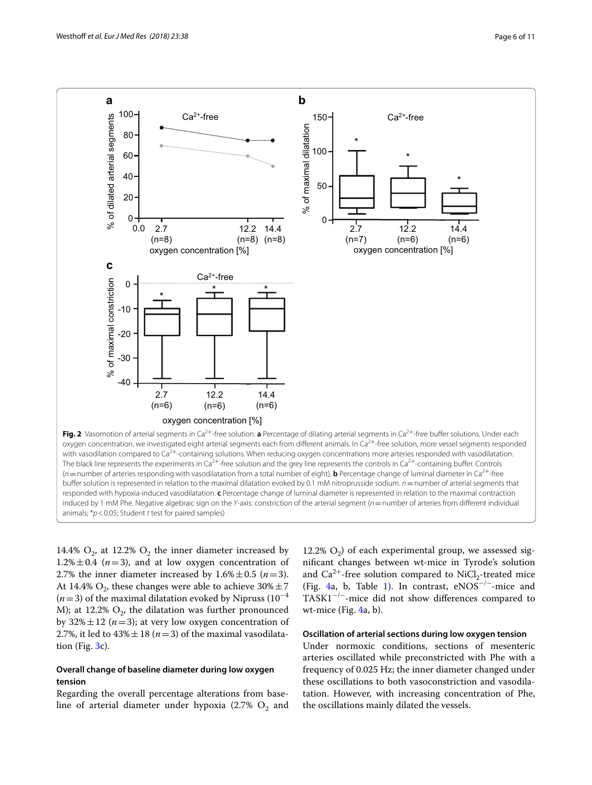

<span id="page-5-0"></span>animals; \**p*<0.05; Student *t* test for paired samples)

14.4%  $O_2$ , at 12.2%  $O_2$  the inner diameter increased by  $1.2\% \pm 0.4$  ( $n=3$ ), and at low oxygen concentration of 2.7% the inner diameter increased by  $1.6\% \pm 0.5$  ( $n=3$ ). At 14.4%  $O_2$ , these changes were able to achieve 30%  $\pm$  7  $(n=3)$  of the maximal dilatation evoked by Nipruss (10<sup>-4</sup>) M); at 12.2%  $O_2$ , the dilatation was further pronounced by  $32\% \pm 12$  ( $n=3$ ); at very low oxygen concentration of 2.7%, it led to  $43\% \pm 18$  ( $n=3$ ) of the maximal vasodilatation (Fig. [3c](#page-6-0)).

# **Overall change of baseline diameter during low oxygen tension**

Regarding the overall percentage alterations from baseline of arterial diameter under hypoxia (2.7%  $O_2$  and

12.2%  $O<sub>2</sub>$ ) of each experimental group, we assessed signifcant changes between wt-mice in Tyrode's solution and  $Ca^{2+}$ -free solution compared to NiCl<sub>2</sub>-treated mice (Fig. [4](#page-7-0)a, b, Table [1](#page-8-0)). In contrast,  $eNOS^{-/-}$ -mice and  $TASK1^{-/-}$ -mice did not show differences compared to wt-mice (Fig. [4a](#page-7-0), b).

#### **Oscillation of arterial sections during low oxygen tension**

Under normoxic conditions, sections of mesenteric arteries oscillated while preconstricted with Phe with a frequency of 0.025 Hz; the inner diameter changed under these oscillations to both vasoconstriction and vasodilatation. However, with increasing concentration of Phe, the oscillations mainly dilated the vessels.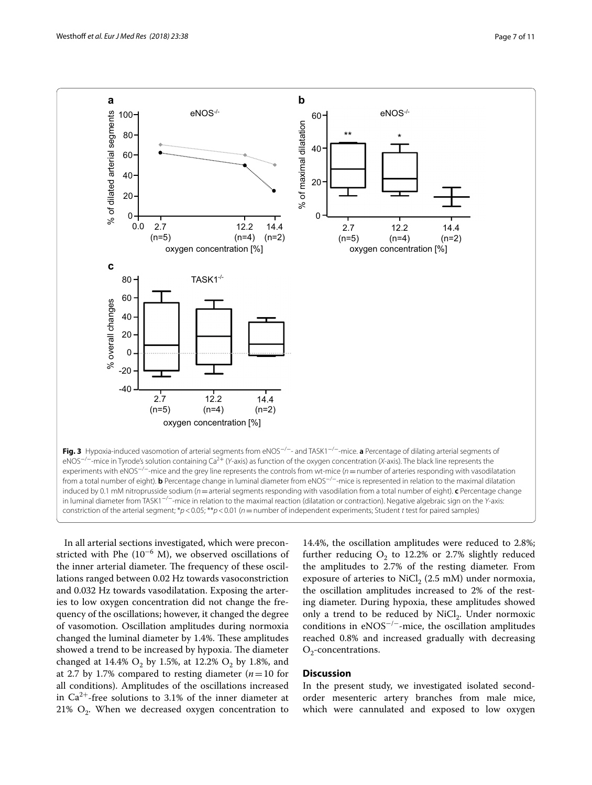

<span id="page-6-0"></span>In all arterial sections investigated, which were preconstricted with Phe  $(10^{-6}$  M), we observed oscillations of the inner arterial diameter. The frequency of these oscillations ranged between 0.02 Hz towards vasoconstriction and 0.032 Hz towards vasodilatation. Exposing the arteries to low oxygen concentration did not change the frequency of the oscillations; however, it changed the degree of vasomotion. Oscillation amplitudes during normoxia changed the luminal diameter by 1.4%. These amplitudes showed a trend to be increased by hypoxia. The diameter changed at 14.4%  $O_2$  by 1.5%, at 12.2%  $O_2$  by 1.8%, and at 2.7 by 1.7% compared to resting diameter  $(n=10$  for all conditions). Amplitudes of the oscillations increased in  $Ca^{2+}$ -free solutions to 3.1% of the inner diameter at 21%  $O_2$ . When we decreased oxygen concentration to

14.4%, the oscillation amplitudes were reduced to 2.8%; further reducing  $O_2$  to 12.2% or 2.7% slightly reduced the amplitudes to 2.7% of the resting diameter. From exposure of arteries to  $NiCl<sub>2</sub>$  (2.5 mM) under normoxia, the oscillation amplitudes increased to 2% of the resting diameter. During hypoxia, these amplitudes showed only a trend to be reduced by NiCl<sub>2</sub>. Under normoxic conditions in  $eNOS^{-/-}$ -mice, the oscillation amplitudes reached 0.8% and increased gradually with decreasing  $O_2$ -concentrations.

# **Discussion**

In the present study, we investigated isolated secondorder mesenteric artery branches from male mice, which were cannulated and exposed to low oxygen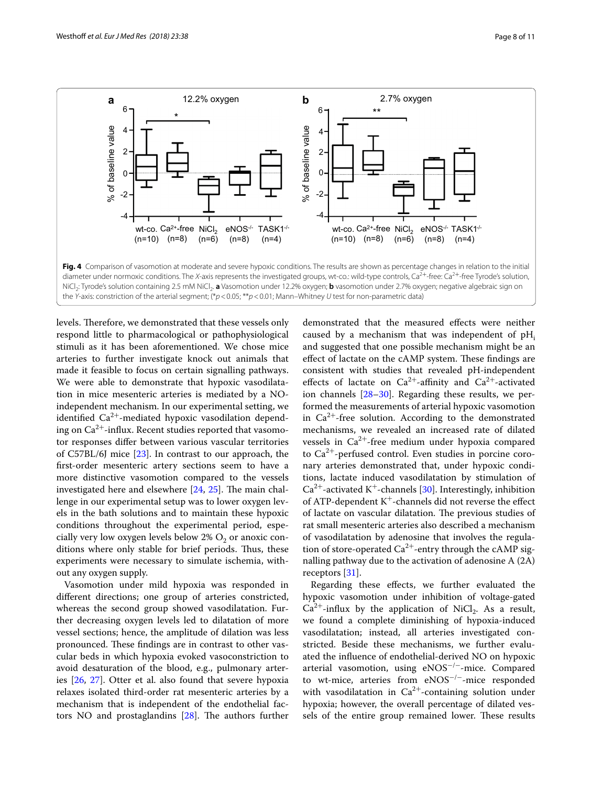

<span id="page-7-0"></span>levels. Therefore, we demonstrated that these vessels only respond little to pharmacological or pathophysiological stimuli as it has been aforementioned. We chose mice arteries to further investigate knock out animals that made it feasible to focus on certain signalling pathways. We were able to demonstrate that hypoxic vasodilatation in mice mesenteric arteries is mediated by a NOindependent mechanism. In our experimental setting, we identified  $Ca^{2+}$ -mediated hypoxic vasodilation depending on  $Ca^{2+}$ -influx. Recent studies reported that vasomotor responses difer between various vascular territories of C57BL/6J mice [\[23](#page-10-20)]. In contrast to our approach, the frst-order mesenteric artery sections seem to have a more distinctive vasomotion compared to the vessels investigated here and elsewhere  $[24, 25]$  $[24, 25]$  $[24, 25]$  $[24, 25]$  $[24, 25]$ . The main challenge in our experimental setup was to lower oxygen levels in the bath solutions and to maintain these hypoxic conditions throughout the experimental period, especially very low oxygen levels below  $2\%$  O<sub>2</sub> or anoxic conditions where only stable for brief periods. Thus, these experiments were necessary to simulate ischemia, without any oxygen supply.

Vasomotion under mild hypoxia was responded in diferent directions; one group of arteries constricted, whereas the second group showed vasodilatation. Further decreasing oxygen levels led to dilatation of more vessel sections; hence, the amplitude of dilation was less pronounced. These findings are in contrast to other vascular beds in which hypoxia evoked vasoconstriction to avoid desaturation of the blood, e.g., pulmonary arteries [[26,](#page-10-23) [27](#page-10-24)]. Otter et al. also found that severe hypoxia relaxes isolated third-order rat mesenteric arteries by a mechanism that is independent of the endothelial factors NO and prostaglandins  $[28]$  $[28]$  $[28]$ . The authors further

demonstrated that the measured efects were neither caused by a mechanism that was independent of  $pH_i$ and suggested that one possible mechanism might be an effect of lactate on the cAMP system. These findings are consistent with studies that revealed pH-independent effects of lactate on  $Ca^{2+}$ -affinity and  $Ca^{2+}$ -activated ion channels [[28](#page-10-25)[–30](#page-10-26)]. Regarding these results, we performed the measurements of arterial hypoxic vasomotion in  $Ca^{2+}$ -free solution. According to the demonstrated mechanisms, we revealed an increased rate of dilated vessels in  $Ca^{2+}$ -free medium under hypoxia compared to  $Ca^{2+}$ -perfused control. Even studies in porcine coronary arteries demonstrated that, under hypoxic conditions, lactate induced vasodilatation by stimulation of  $Ca^{2+}$ -activated K<sup>+</sup>-channels [[30\]](#page-10-26). Interestingly, inhibition of ATP-dependent  $K^+$ -channels did not reverse the effect of lactate on vascular dilatation. The previous studies of rat small mesenteric arteries also described a mechanism of vasodilatation by adenosine that involves the regulation of store-operated  $Ca^{2+}$ -entry through the cAMP signalling pathway due to the activation of adenosine A (2A) receptors [[31](#page-10-27)].

Regarding these efects, we further evaluated the hypoxic vasomotion under inhibition of voltage-gated  $Ca^{2+}$ -influx by the application of NiCl<sub>2</sub>. As a result, we found a complete diminishing of hypoxia-induced vasodilatation; instead, all arteries investigated constricted. Beside these mechanisms, we further evaluated the infuence of endothelial-derived NO on hypoxic arterial vasomotion, using eNOS<sup>−</sup>/<sup>−</sup>-mice. Compared to wt-mice, arteries from  $eNOS^{-/-}$ -mice responded with vasodilatation in  $Ca^{2+}$ -containing solution under hypoxia; however, the overall percentage of dilated vessels of the entire group remained lower. These results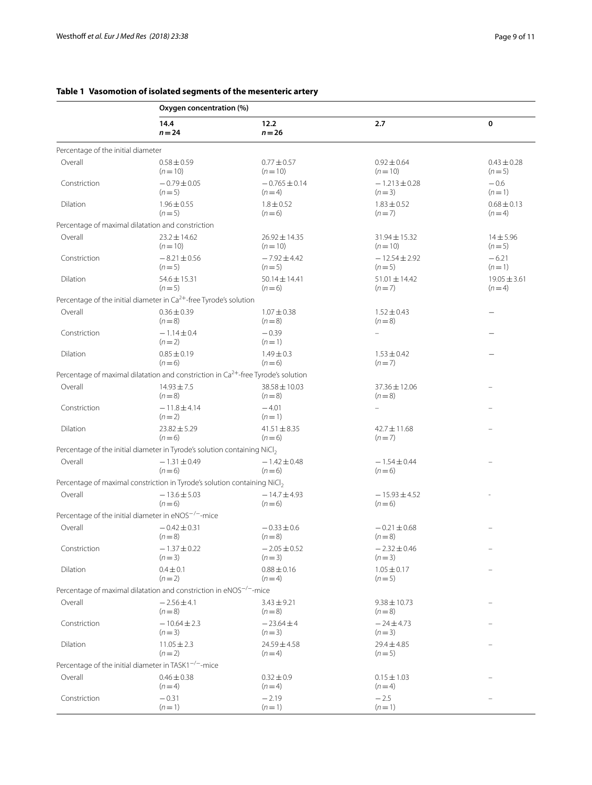|                                    | Oxygen concentration (%)                                                                      |                               |                               |                             |  |  |
|------------------------------------|-----------------------------------------------------------------------------------------------|-------------------------------|-------------------------------|-----------------------------|--|--|
|                                    | 14.4<br>$n = 24$                                                                              | 12.2<br>$n = 26$              | 2.7                           | 0                           |  |  |
| Percentage of the initial diameter |                                                                                               |                               |                               |                             |  |  |
| Overall                            | $0.58 \pm 0.59$<br>$(n=10)$                                                                   | $0.77 \pm 0.57$<br>$(n=10)$   | $0.92 \pm 0.64$<br>$(n=10)$   | $0.43 \pm 0.28$<br>$(n=5)$  |  |  |
| Constriction                       | $-0.79 \pm 0.05$<br>$(n=5)$                                                                   | $-0.765 \pm 0.14$<br>$(n=4)$  | $-1.213 \pm 0.28$<br>$(n=3)$  | $-0.6$<br>$(n=1)$           |  |  |
| Dilation                           | $1.96 \pm 0.55$<br>$(n=5)$                                                                    | $1.8 \pm 0.52$<br>$(n=6)$     | $1.83 \pm 0.52$<br>$(n=7)$    | $0.68 \pm 0.13$<br>$(n=4)$  |  |  |
|                                    | Percentage of maximal dilatation and constriction                                             |                               |                               |                             |  |  |
| Overall                            | $23.2 \pm 14.62$<br>$(n=10)$                                                                  | $26.92 \pm 14.35$<br>$(n=10)$ | $31.94 \pm 15.32$<br>$(n=10)$ | $14 \pm 5.96$<br>$(n=5)$    |  |  |
| Constriction                       | $-8.21 \pm 0.56$<br>$(n=5)$                                                                   | $-7.92 \pm 4.42$<br>$(n=5)$   | $-12.54 \pm 2.92$<br>$(n=5)$  | $-6.21$<br>$(n=1)$          |  |  |
| Dilation                           | $54.6 \pm 15.31$<br>$(n=5)$                                                                   | $50.14 \pm 14.41$<br>$(n=6)$  | $51.01 \pm 14.42$<br>$(n=7)$  | $19.05 \pm 3.61$<br>$(n=4)$ |  |  |
|                                    | Percentage of the initial diameter in Ca <sup>2+</sup> -free Tyrode's solution                |                               |                               |                             |  |  |
| Overall                            | $0.36 \pm 0.39$<br>$(n=8)$                                                                    | $1.07 \pm 0.38$<br>$(n=8)$    | $1.52 \pm 0.43$<br>$(n=8)$    |                             |  |  |
| Constriction                       | $-1.14 \pm 0.4$<br>$(n=2)$                                                                    | $-0.39$<br>$(n=1)$            |                               |                             |  |  |
| Dilation                           | $0.85 \pm 0.19$<br>$(n=6)$                                                                    | $1.49 \pm 0.3$<br>$(n=6)$     | $1.53 \pm 0.42$<br>$(n=7)$    |                             |  |  |
|                                    | Percentage of maximal dilatation and constriction in Ca <sup>2+</sup> -free Tyrode's solution |                               |                               |                             |  |  |
| Overall                            | $14.93 \pm 7.5$<br>$(n=8)$                                                                    | 38.58 ± 10.03<br>$(n=8)$      | 37.36 ± 12.06<br>$(n=8)$      |                             |  |  |
| Constriction                       | $-11.8 \pm 4.14$<br>$(n=2)$                                                                   | $-4.01$<br>$(n=1)$            | $\overline{\phantom{0}}$      |                             |  |  |
| Dilation                           | $23.82 \pm 5.29$<br>$(n=6)$                                                                   | $41.51 \pm 8.35$<br>$(n=6)$   | $42.7 \pm 11.68$<br>$(n=7)$   |                             |  |  |
|                                    | Percentage of the initial diameter in Tyrode's solution containing NiCl <sub>2</sub>          |                               |                               |                             |  |  |
| Overall                            | $-1.31 \pm 0.49$<br>$(n=6)$                                                                   | $-1.42 \pm 0.48$<br>$(n=6)$   | $-1.54 \pm 0.44$<br>$(n=6)$   |                             |  |  |
|                                    | Percentage of maximal constriction in Tyrode's solution containing NiCl <sub>2</sub>          |                               |                               |                             |  |  |
| Overall                            | $-13.6 \pm 5.03$<br>$(n=6)$                                                                   | $-14.7 \pm 4.93$<br>$(n=6)$   | $-15.93 \pm 4.52$<br>$(n=6)$  |                             |  |  |
|                                    | Percentage of the initial diameter in eNOS <sup>-/-</sup> -mice                               |                               |                               |                             |  |  |
| Overall                            | $-0.42 \pm 0.31$<br>$(n=8)$                                                                   | $-0.33 \pm 0.6$<br>$(n=8)$    | $-0.21 \pm 0.68$<br>$(n=8)$   |                             |  |  |
| Constriction                       | $-1.37 \pm 0.22$<br>$(n=3)$                                                                   | $-2.05 \pm 0.52$<br>$(n=3)$   | $-2.32 \pm 0.46$<br>$(n=3)$   |                             |  |  |
| Dilation                           | $0.4 \pm 0.1$<br>$(n=2)$                                                                      | $0.88 \pm 0.16$<br>$(n=4)$    | $1.05 \pm 0.17$<br>$(n=5)$    |                             |  |  |
|                                    | Percentage of maximal dilatation and constriction in eNOS <sup>-/-</sup> -mice                |                               |                               |                             |  |  |
| Overall                            | $-2.56 \pm 4.1$<br>$(n=8)$                                                                    | $3.43 \pm 9.21$<br>$(n=8)$    | $9.38 \pm 10.73$<br>$(n=8)$   |                             |  |  |
| Constriction                       | $-10.64 \pm 2.3$<br>$(n=3)$                                                                   | $-23.64 \pm 4$<br>$(n=3)$     | $-24 \pm 4.73$<br>$(n=3)$     |                             |  |  |
| Dilation                           | $11.05 \pm 2.3$<br>$(n=2)$                                                                    | $24.59 \pm 4.58$<br>$(n=4)$   | $29.4 \pm 4.85$<br>$(n=5)$    |                             |  |  |
|                                    | Percentage of the initial diameter in TASK1 <sup>-/-</sup> -mice                              |                               |                               |                             |  |  |
| Overall                            | $0.46 \pm 0.38$<br>$(n=4)$                                                                    | $0.32 \pm 0.9$<br>$(n=4)$     | $0.15 \pm 1.03$<br>$(n=4)$    |                             |  |  |
| Constriction                       | $-0.31$<br>$(n=1)$                                                                            | $-2.19$<br>$(n=1)$            | $-2.5$<br>$(n=1)$             |                             |  |  |

# <span id="page-8-0"></span>**Table 1 Vasomotion of isolated segments of the mesenteric artery**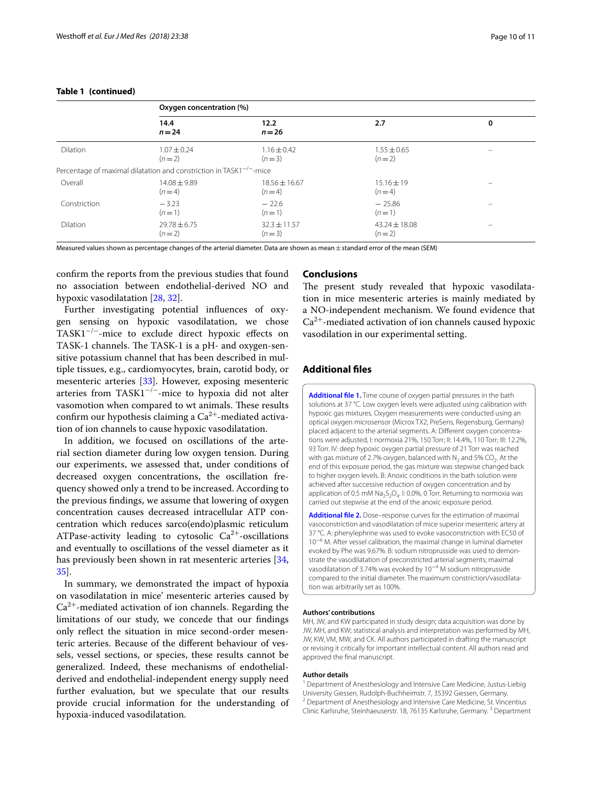# **Table 1 (continued)**

|                 | Oxygen concentration (%)                                                        |                              |                              |   |  |
|-----------------|---------------------------------------------------------------------------------|------------------------------|------------------------------|---|--|
|                 | 14.4<br>$n = 24$                                                                | 12.2<br>$n = 26$             | 2.7                          | 0 |  |
| <b>Dilation</b> | $1.07 \pm 0.24$<br>$(n=2)$                                                      | $1.16 \pm 0.42$<br>$(n=3)$   | $1.55 \pm 0.65$<br>$(n=2)$   |   |  |
|                 | Percentage of maximal dilatation and constriction in TASK1 <sup>-/-</sup> -mice |                              |                              |   |  |
| Overall         | $14.08 + 9.89$<br>$(n=4)$                                                       | $18.56 \pm 16.67$<br>$(n=4)$ | $15.16 \pm 19$<br>$(n=4)$    |   |  |
| Constriction    | $-3.23$<br>$(n=1)$                                                              | $-22.6$<br>$(n=1)$           | $-25.86$<br>$(n=1)$          |   |  |
| Dilation        | $29.78 \pm 6.75$<br>$(n=2)$                                                     | $32.3 \pm 11.57$<br>$(n=3)$  | $43.24 \pm 18.08$<br>$(n=2)$ |   |  |

Measured values shown as percentage changes of the arterial diameter. Data are shown as mean±standard error of the mean (SEM)

confrm the reports from the previous studies that found no association between endothelial-derived NO and hypoxic vasodilatation [\[28,](#page-10-25) [32](#page-10-28)].

Further investigating potential infuences of oxygen sensing on hypoxic vasodilatation, we chose TASK1−/−-mice to exclude direct hypoxic efects on TASK-1 channels. The TASK-1 is a pH- and oxygen-sensitive potassium channel that has been described in multiple tissues, e.g., cardiomyocytes, brain, carotid body, or mesenteric arteries [[33](#page-10-29)]. However, exposing mesenteric arteries from TASK1<sup> $-/-$ </sup>-mice to hypoxia did not alter vasomotion when compared to wt animals. These results confirm our hypothesis claiming a  $Ca^{2+}$ -mediated activation of ion channels to cause hypoxic vasodilatation.

In addition, we focused on oscillations of the arterial section diameter during low oxygen tension. During our experiments, we assessed that, under conditions of decreased oxygen concentrations, the oscillation frequency showed only a trend to be increased. According to the previous fndings, we assume that lowering of oxygen concentration causes decreased intracellular ATP concentration which reduces sarco(endo)plasmic reticulum ATPase-activity leading to cytosolic  $Ca^{2+}$ -oscillations and eventually to oscillations of the vessel diameter as it has previously been shown in rat mesenteric arteries [\[34](#page-10-30), [35\]](#page-10-31).

In summary, we demonstrated the impact of hypoxia on vasodilatation in mice' mesenteric arteries caused by  $Ca<sup>2+</sup>$ -mediated activation of ion channels. Regarding the limitations of our study, we concede that our fndings only refect the situation in mice second-order mesenteric arteries. Because of the diferent behaviour of vessels, vessel sections, or species, these results cannot be generalized. Indeed, these mechanisms of endothelialderived and endothelial-independent energy supply need further evaluation, but we speculate that our results provide crucial information for the understanding of hypoxia-induced vasodilatation.

### **Conclusions**

The present study revealed that hypoxic vasodilatation in mice mesenteric arteries is mainly mediated by a NO-independent mechanism. We found evidence that  $Ca^{2+}$ -mediated activation of ion channels caused hypoxic vasodilation in our experimental setting.

# **Additional fles**

<span id="page-9-0"></span>**[Additional fle](https://doi.org/10.1186/s40001-018-0335-8) 1.** Time course of oxygen partial pressures in the bath solutions at 37 °C. Low oxygen levels were adjusted using calibration with hypoxic gas mixtures. Oxygen measurements were conducted using an optical oxygen microsensor (Microx TX2, PreSens, Regensburg, Germany) placed adjacent to the arterial segments. A: Diferent oxygen concentrations were adjusted, I: normoxia 21%, 150 Torr; II: 14.4%, 110 Torr; III: 12.2%, 93 Torr. IV: deep hypoxic oxygen partial pressure of 21 Torr was reached with gas mixture of 2.7% oxygen, balanced with  $N_2$  and 5% CO<sub>2</sub>. At the end of this exposure period, the gas mixture was stepwise changed back to higher oxygen levels. B: Anoxic conditions in the bath solution were achieved after successive reduction of oxygen concentration and by application of 0.5 mM  $Na<sub>2</sub>S<sub>2</sub>O<sub>4</sub>$ . I: 0.0%, 0 Torr. Returning to normoxia was carried out stepwise at the end of the anoxic exposure period.

<span id="page-9-1"></span>**[Additional fle](https://doi.org/10.1186/s40001-018-0335-8) 2.** Dose–response curves for the estimation of maximal vasoconstriction and vasodilatation of mice superior mesenteric artery at 37 °C. A: phenylephrine was used to evoke vasoconstriction with EC50 of 10−<sup>6</sup> M. After vessel calibration, the maximal change in luminal diameter evoked by Phe was 9.67%. B: sodium nitroprusside was used to demonstrate the vasodilatation of preconstricted arterial segments; maximal vasodilatation of 3.74% was evoked by 10<sup>-4</sup> M sodium nitroprusside compared to the initial diameter. The maximum constriction/vasodilatation was arbitrarily set as 100%.

#### **Authors' contributions**

MH, JW, and KW participated in study design; data acquisition was done by JW, MH, and KW; statistical analysis and interpretation was performed by MH, JW, KW, VM, MW, and CK. All authors participated in drafting the manuscript or revising it critically for important intellectual content. All authors read and approved the fnal manuscript.

#### **Author details**

<sup>1</sup> Department of Anesthesiology and Intensive Care Medicine, Justus-Liebig University Giessen, Rudolph-Buchheimstr. 7, 35392 Giessen, Germany.<br><sup>2</sup> Department of Anesthesiology and Intensive Care Medicine, St. Vincentius Clinic Karlsruhe, Steinhaeuserstr. 18, 76135 Karlsruhe, Germany. <sup>3</sup> Department